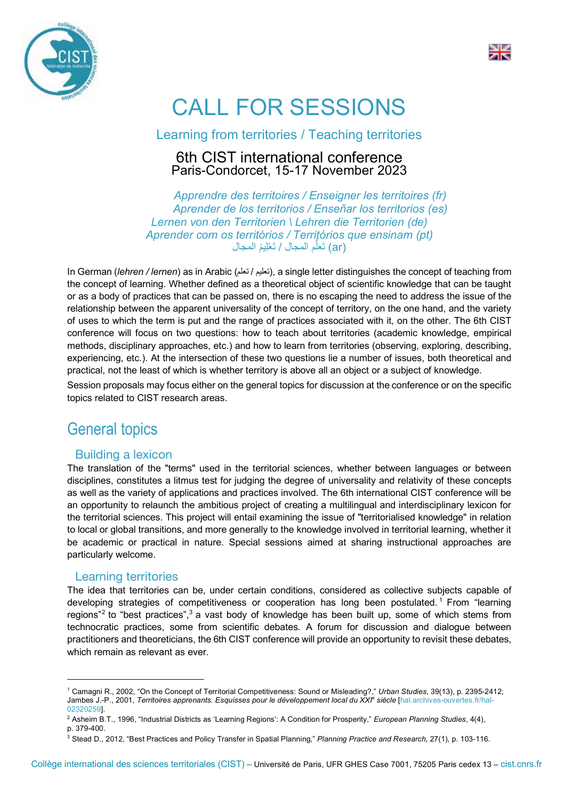



# CALL FOR SESSIONS

Learning from territories / Teaching territories

#### 6th CIST international conference Paris-Condorcet, 15-17 November 2023

*Apprendre des territoires / Enseigner les territoires (fr) Aprender de los territorios / Enseñar los territorios (es) Lernen von den Territorien \ Lehren die Territorien (de) Aprender com os territórios / Territórios que ensinam (pt)* لَ تَع (ar (م المجال / تَ ْعِلی ْم المجال ُّ

In German *(lehren / lernen*) as in Arabic ( $i\neq j$  , a single letter distinguishes the concept of teaching from the concept of learning. Whether defined as a theoretical object of scientific knowledge that can be taught or as a body of practices that can be passed on, there is no escaping the need to address the issue of the relationship between the apparent universality of the concept of territory, on the one hand, and the variety of uses to which the term is put and the range of practices associated with it, on the other. The 6th CIST conference will focus on two questions: how to teach about territories (academic knowledge, empirical methods, disciplinary approaches, etc.) and how to learn from territories (observing, exploring, describing, experiencing, etc.). At the intersection of these two questions lie a number of issues, both theoretical and practical, not the least of which is whether territory is above all an object or a subject of knowledge.

Session proposals may focus either on the general topics for discussion at the conference or on the specific topics related to CIST research areas.

# General topics

#### Building a lexicon

The translation of the "terms" used in the territorial sciences, whether between languages or between disciplines, constitutes a litmus test for judging the degree of universality and relativity of these concepts as well as the variety of applications and practices involved. The 6th international CIST conference will be an opportunity to relaunch the ambitious project of creating a multilingual and interdisciplinary lexicon for the territorial sciences. This project will entail examining the issue of "territorialised knowledge" in relation to local or global transitions, and more generally to the knowledge involved in territorial learning, whether it be academic or practical in nature. Special sessions aimed at sharing instructional approaches are particularly welcome.

#### Learning territories

The idea that territories can be, under certain conditions, considered as collective subjects capable of developing strategies of competitiveness or cooperation has long been postulated.<sup>1</sup> From "learning regions"<sup>2</sup> to "best practices", $3$  a vast body of knowledge has been built up, some of which stems from technocratic practices, some from scientific debates. A forum for discussion and dialogue between practitioners and theoreticians, the 6th CIST conference will provide an opportunity to revisit these debates, which remain as relevant as ever.

 <sup>1</sup> Camagni R., 2002, "On the Concept of Territorial Competitiveness: Sound or Misleading?," *Urban Studies*, 39(13), p. 2395-2412; Jambes J.-P., 2001, *Territoires apprenants. Esquisses pour le développement local du XXI<sup>e</sup> siècle [hal.archives-ouvertes.fr/hal-*02320259].

<sup>2</sup> Asheim B.T., 1996, "Industrial Districts as 'Learning Regions': A Condition for Prosperity," *European Planning Studies*, 4(4), p. 379-400.

<sup>3</sup> Stead D., 2012, "Best Practices and Policy Transfer in Spatial Planning," *Planning Practice and Research*, 27(1), p. 103-116.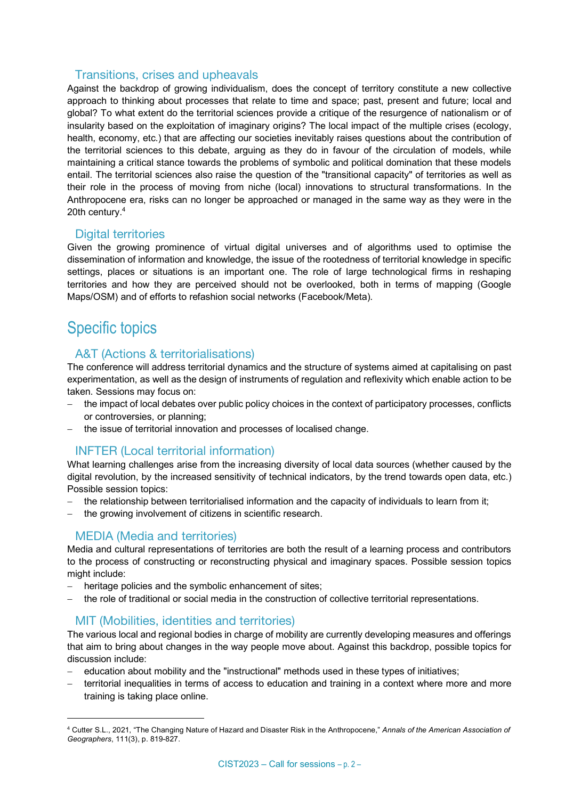#### Transitions, crises and upheavals

Against the backdrop of growing individualism, does the concept of territory constitute a new collective approach to thinking about processes that relate to time and space; past, present and future; local and global? To what extent do the territorial sciences provide a critique of the resurgence of nationalism or of insularity based on the exploitation of imaginary origins? The local impact of the multiple crises (ecology, health, economy, etc.) that are affecting our societies inevitably raises questions about the contribution of the territorial sciences to this debate, arguing as they do in favour of the circulation of models, while maintaining a critical stance towards the problems of symbolic and political domination that these models entail. The territorial sciences also raise the question of the "transitional capacity" of territories as well as their role in the process of moving from niche (local) innovations to structural transformations. In the Anthropocene era, risks can no longer be approached or managed in the same way as they were in the 20th century.4

#### Digital territories

Given the growing prominence of virtual digital universes and of algorithms used to optimise the dissemination of information and knowledge, the issue of the rootedness of territorial knowledge in specific settings, places or situations is an important one. The role of large technological firms in reshaping territories and how they are perceived should not be overlooked, both in terms of mapping (Google Maps/OSM) and of efforts to refashion social networks (Facebook/Meta).

# Specific topics

#### A&T (Actions & territorialisations)

The conference will address territorial dynamics and the structure of systems aimed at capitalising on past experimentation, as well as the design of instruments of regulation and reflexivity which enable action to be taken. Sessions may focus on:

- the impact of local debates over public policy choices in the context of participatory processes, conflicts or controversies, or planning;
- the issue of territorial innovation and processes of localised change.

#### INFTER (Local territorial information)

What learning challenges arise from the increasing diversity of local data sources (whether caused by the digital revolution, by the increased sensitivity of technical indicators, by the trend towards open data, etc.) Possible session topics:

- the relationship between territorialised information and the capacity of individuals to learn from it;
- the growing involvement of citizens in scientific research.

#### MEDIA (Media and territories)

Media and cultural representations of territories are both the result of a learning process and contributors to the process of constructing or reconstructing physical and imaginary spaces. Possible session topics might include:

- heritage policies and the symbolic enhancement of sites;
- the role of traditional or social media in the construction of collective territorial representations.

#### MIT (Mobilities, identities and territories)

The various local and regional bodies in charge of mobility are currently developing measures and offerings that aim to bring about changes in the way people move about. Against this backdrop, possible topics for discussion include:

- education about mobility and the "instructional" methods used in these types of initiatives;
- territorial inequalities in terms of access to education and training in a context where more and more training is taking place online.

 <sup>4</sup> Cutter S.L., 2021, "The Changing Nature of Hazard and Disaster Risk in the Anthropocene," *Annals of the American Association of Geographers*, 111(3), p. 819-827.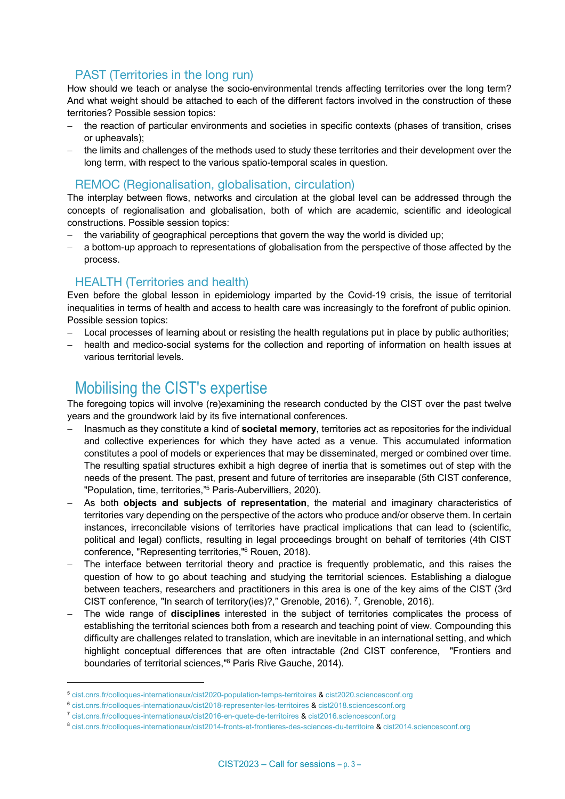#### PAST (Territories in the long run)

How should we teach or analyse the socio-environmental trends affecting territories over the long term? And what weight should be attached to each of the different factors involved in the construction of these territories? Possible session topics:

- the reaction of particular environments and societies in specific contexts (phases of transition, crises or upheavals);
- the limits and challenges of the methods used to study these territories and their development over the long term, with respect to the various spatio-temporal scales in question.

#### REMOC (Regionalisation, globalisation, circulation)

The interplay between flows, networks and circulation at the global level can be addressed through the concepts of regionalisation and globalisation, both of which are academic, scientific and ideological constructions. Possible session topics:

- the variability of geographical perceptions that govern the way the world is divided up;
- a bottom-up approach to representations of globalisation from the perspective of those affected by the process.

#### HEALTH (Territories and health)

Even before the global lesson in epidemiology imparted by the Covid-19 crisis, the issue of territorial inequalities in terms of health and access to health care was increasingly to the forefront of public opinion. Possible session topics:

- Local processes of learning about or resisting the health regulations put in place by public authorities;
- health and medico-social systems for the collection and reporting of information on health issues at various territorial levels.

## Mobilising the CIST's expertise

-

The foregoing topics will involve (re)examining the research conducted by the CIST over the past twelve years and the groundwork laid by its five international conferences.

- Inasmuch as they constitute a kind of **societal memory**, territories act as repositories for the individual and collective experiences for which they have acted as a venue. This accumulated information constitutes a pool of models or experiences that may be disseminated, merged or combined over time. The resulting spatial structures exhibit a high degree of inertia that is sometimes out of step with the needs of the present. The past, present and future of territories are inseparable (5th CIST conference, "Population, time, territories,"5 Paris-Aubervilliers, 2020).
- As both **objects and subjects of representation**, the material and imaginary characteristics of territories vary depending on the perspective of the actors who produce and/or observe them. In certain instances, irreconcilable visions of territories have practical implications that can lead to (scientific, political and legal) conflicts, resulting in legal proceedings brought on behalf of territories (4th CIST conference, "Representing territories,"6 Rouen, 2018).
- The interface between territorial theory and practice is frequently problematic, and this raises the question of how to go about teaching and studying the territorial sciences. Establishing a dialogue between teachers, researchers and practitioners in this area is one of the key aims of the CIST (3rd CIST conference, "In search of territory(ies)?," Grenoble, 2016).  $^7$ , Grenoble, 2016).
- The wide range of **disciplines** interested in the subject of territories complicates the process of establishing the territorial sciences both from a research and teaching point of view. Compounding this difficulty are challenges related to translation, which are inevitable in an international setting, and which highlight conceptual differences that are often intractable (2nd CIST conference, "Frontiers and boundaries of territorial sciences,"8 Paris Rive Gauche, 2014).

<sup>5</sup> cist.cnrs.fr/colloques-internationaux/cist2020-population-temps-territoires & cist2020.sciencesconf.org

<sup>6</sup> cist.cnrs.fr/colloques-internationaux/cist2018-representer-les-territoires & cist2018.sciencesconf.org

<sup>7</sup> cist.cnrs.fr/colloques-internationaux/cist2016-en-quete-de-territoires & cist2016.sciencesconf.org

<sup>8</sup> cist.cnrs.fr/colloques-internationaux/cist2014-fronts-et-frontieres-des-sciences-du-territoire & cist2014.sciencesconf.org